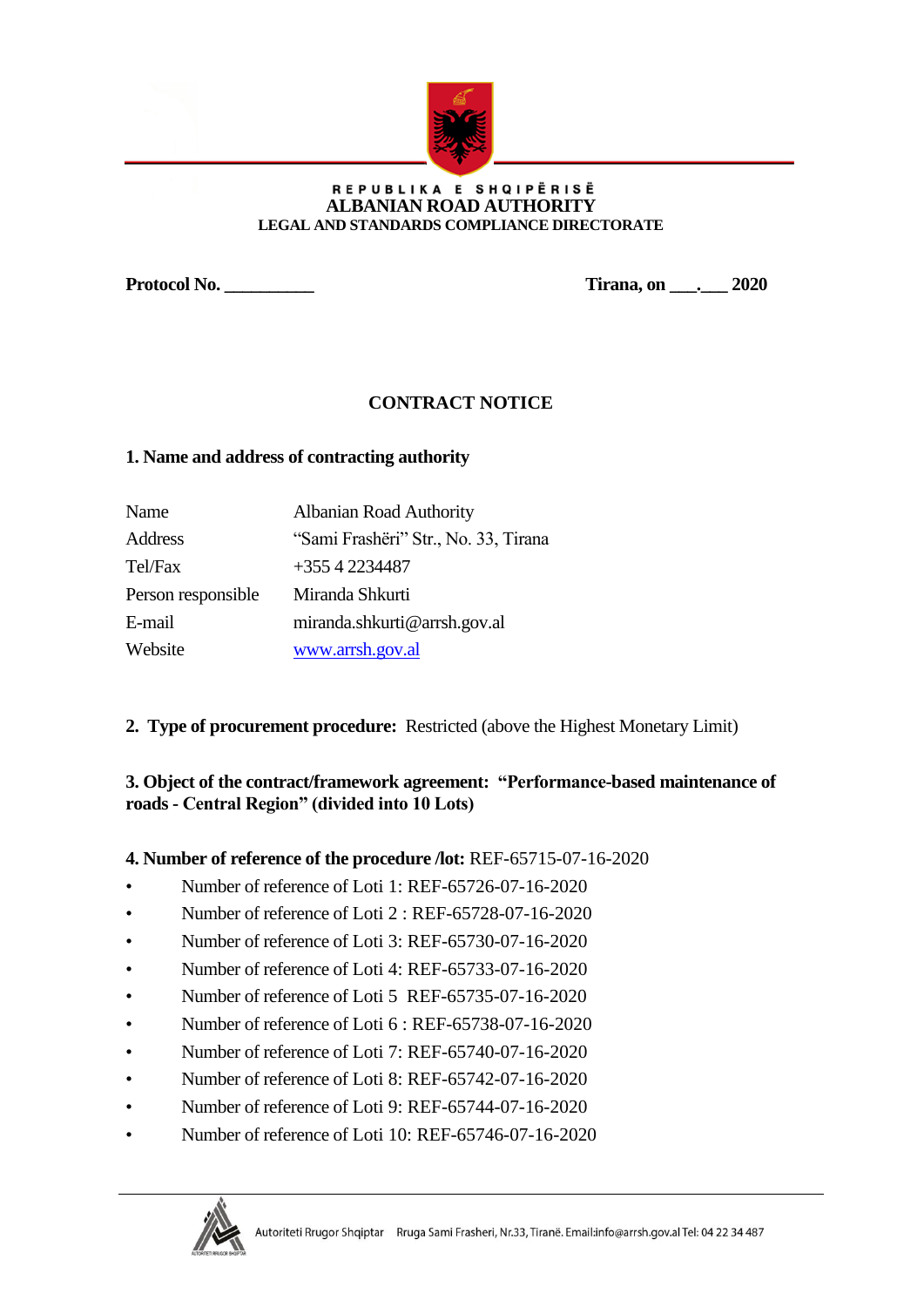

#### REPUBLIKA E SHQIPËRISË **ALBANIAN ROAD AUTHORITY LEGAL AND STANDARDS COMPLIANCE DIRECTORATE**

**Protocol No. \_\_\_\_\_\_\_\_\_\_ Tirana, on \_\_\_.\_\_\_ 2020**

# **CONTRACT NOTICE**

## **1. Name and address of contracting authority**

| Name               | <b>Albanian Road Authority</b>       |
|--------------------|--------------------------------------|
| Address            | "Sami Frashëri" Str., No. 33, Tirana |
| Tel/Fax            | $+35542234487$                       |
| Person responsible | Miranda Shkurti                      |
| E-mail             | miranda.shkurti@arrsh.gov.al         |
| Website            | www.arrsh.gov.al                     |

**2. Type of procurement procedure:** Restricted (above the Highest Monetary Limit)

# **3. Object of the contract/framework agreement: "Performance-based maintenance of roads - Central Region" (divided into 10 Lots)**

## **4. Number of reference of the procedure /lot:** REF-65715-07-16-2020

- Number of reference of Loti 1: REF-65726-07-16-2020
- Number of reference of Loti 2 : REF-65728-07-16-2020
- Number of reference of Loti 3: REF-65730-07-16-2020
- Number of reference of Loti 4: REF-65733-07-16-2020
- Number of reference of Loti 5 REF-65735-07-16-2020
- Number of reference of Loti 6 : REF-65738-07-16-2020
- Number of reference of Loti 7: REF-65740-07-16-2020
- Number of reference of Loti 8: REF-65742-07-16-2020
- Number of reference of Loti 9: REF-65744-07-16-2020
- Number of reference of Loti 10: REF-65746-07-16-2020

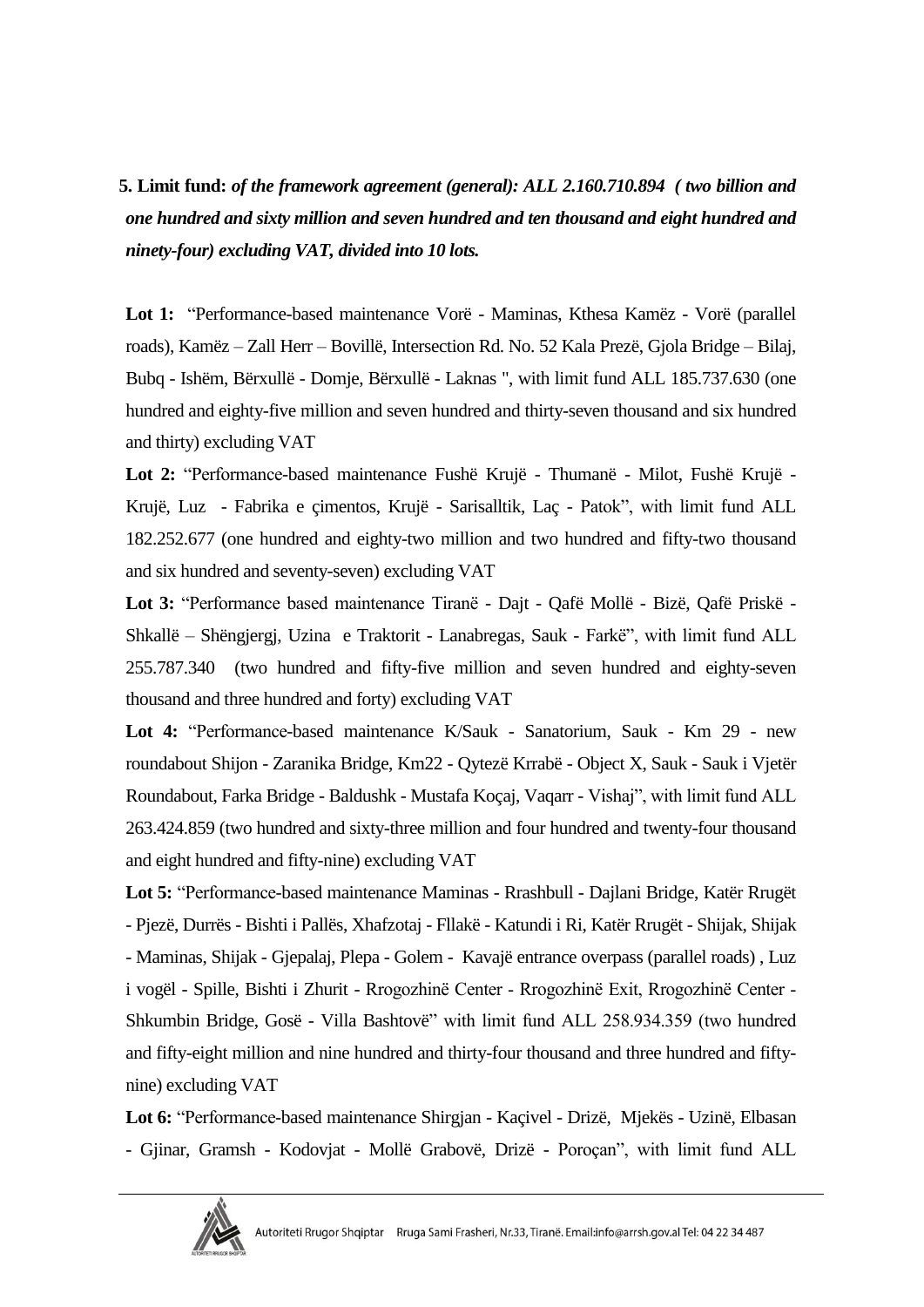**5. Limit fund:** *of the framework agreement (general): ALL 2.160.710.894 ( two billion and one hundred and sixty million and seven hundred and ten thousand and eight hundred and ninety-four) excluding VAT, divided into 10 lots.* 

**Lot 1:** "Performance-based maintenance Vorë - Maminas, Kthesa Kamëz - Vorë (parallel roads), Kamëz – Zall Herr – Bovillë, Intersection Rd. No. 52 Kala Prezë, Gjola Bridge – Bilaj, Bubq - Ishëm, Bërxullë - Domje, Bërxullë - Laknas ", with limit fund ALL 185.737.630 (one hundred and eighty-five million and seven hundred and thirty-seven thousand and six hundred and thirty) excluding VAT

**Lot 2:** "Performance-based maintenance Fushë Krujë - Thumanë - Milot, Fushë Krujë - Krujë, Luz - Fabrika e çimentos, Krujë - Sarisalltik, Laç - Patok", with limit fund ALL 182.252.677 (one hundred and eighty-two million and two hundred and fifty-two thousand and six hundred and seventy-seven) excluding VAT

**Lot 3:** "Performance based maintenance Tiranë - Dajt - Qafë Mollë - Bizë, Qafë Priskë - Shkallë – Shëngjergj, Uzina e Traktorit - Lanabregas, Sauk - Farkë", with limit fund ALL 255.787.340 (two hundred and fifty-five million and seven hundred and eighty-seven thousand and three hundred and forty) excluding VAT

**Lot 4:** "Performance-based maintenance K/Sauk - Sanatorium, Sauk - Km 29 - new roundabout Shijon - Zaranika Bridge, Km22 - Qytezë Krrabë - Object X, Sauk - Sauk i Vjetër Roundabout, Farka Bridge - Baldushk - Mustafa Koçaj, Vaqarr - Vishaj", with limit fund ALL 263.424.859 (two hundred and sixty-three million and four hundred and twenty-four thousand and eight hundred and fifty-nine) excluding VAT

**Lot 5:** "Performance-based maintenance Maminas - Rrashbull - Dajlani Bridge, Katër Rrugët - Pjezë, Durrës - Bishti i Pallës, Xhafzotaj - Fllakë - Katundi i Ri, Katër Rrugët - Shijak, Shijak - Maminas, Shijak - Gjepalaj, Plepa - Golem - Kavajë entrance overpass (parallel roads) , Luz i vogël - Spille, Bishti i Zhurit - Rrogozhinë Center ‐ Rrogozhinë Exit, Rrogozhinë Center ‐ Shkumbin Bridge, Gosë - Villa Bashtovë" with limit fund ALL 258.934.359 (two hundred and fifty-eight million and nine hundred and thirty-four thousand and three hundred and fiftynine) excluding VAT

**Lot 6:** "Performance-based maintenance Shirgjan - Kaçivel - Drizë, Mjekës - Uzinë, Elbasan - Gjinar, Gramsh - Kodovjat - Mollë Grabovë, Drizë - Poroçan", with limit fund ALL

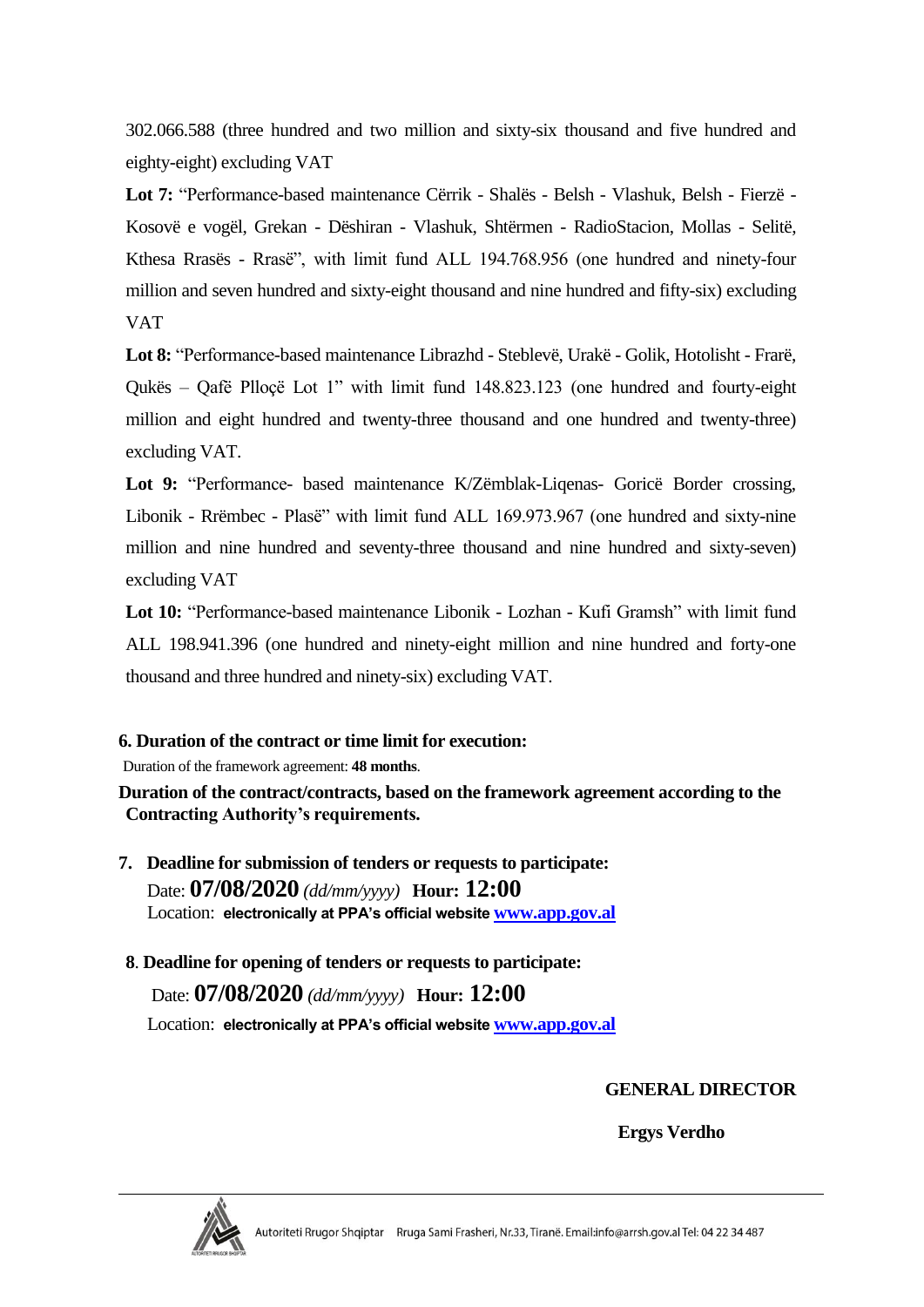302.066.588 (three hundred and two million and sixty-six thousand and five hundred and eighty-eight) excluding VAT

**Lot 7:** "Performance-based maintenance Cërrik - Shalës - Belsh - Vlashuk, Belsh - Fierzë - Kosovë e vogël, Grekan - Dëshiran - Vlashuk, Shtërmen - RadioStacion, Mollas - Selitë, Kthesa Rrasës - Rrasë", with limit fund ALL 194.768.956 (one hundred and ninety-four million and seven hundred and sixty-eight thousand and nine hundred and fifty-six) excluding VAT

**Lot 8:** "Performance-based maintenance Librazhd - Steblevë, Urakë - Golik, Hotolisht - Frarë, Qukës – Qafë Plloçë Lot 1" with limit fund 148.823.123 (one hundred and fourty-eight million and eight hundred and twenty-three thousand and one hundred and twenty-three) excluding VAT.

**Lot 9:** "Performance- based maintenance K/Zëmblak-Liqenas- Goricë Border crossing, Libonik - Rrëmbec - Plasë" with limit fund ALL 169.973.967 (one hundred and sixty-nine million and nine hundred and seventy-three thousand and nine hundred and sixty-seven) excluding VAT

**Lot 10:** "Performance-based maintenance Libonik - Lozhan - Kufi Gramsh" with limit fund ALL 198.941.396 (one hundred and ninety-eight million and nine hundred and forty-one thousand and three hundred and ninety-six) excluding VAT.

## **6. Duration of the contract or time limit for execution:**

Duration of the framework agreement: **48 months**.

**Duration of the contract/contracts, based on the framework agreement according to the Contracting Authority's requirements.**

- **7. Deadline for submission of tenders or requests to participate:** Date: **07/08/2020** *(dd/mm/yyyy)* **Hour: 12:00** Location: **electronically at PPA's official website [www.app.gov.al](http://www.app.gov.al/)**
- **8**. **Deadline for opening of tenders or requests to participate:**

Date: **07/08/2020** *(dd/mm/yyyy)* **Hour: 12:00** Location: **electronically at PPA's official website [www.app.gov.al](http://www.app.gov.al/)**

**GENERAL DIRECTOR**

 **Ergys Verdho**